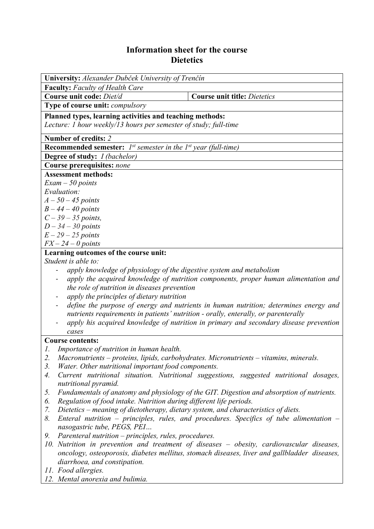## **Information sheet for the course Dietetics**

| University: Alexander Dubček University of Trenčín                                       |                                                                                              |  |  |  |  |
|------------------------------------------------------------------------------------------|----------------------------------------------------------------------------------------------|--|--|--|--|
| <b>Faculty:</b> Faculty of Health Care                                                   |                                                                                              |  |  |  |  |
| Course unit code: Diet/d                                                                 | <b>Course unit title: Dietetics</b>                                                          |  |  |  |  |
| Type of course unit: <i>compulsory</i>                                                   |                                                                                              |  |  |  |  |
| Planned types, learning activities and teaching methods:                                 |                                                                                              |  |  |  |  |
| Lecture: 1 hour weekly/13 hours per semester of study; full-time                         |                                                                                              |  |  |  |  |
| Number of credits: 2                                                                     |                                                                                              |  |  |  |  |
| <b>Recommended semester:</b> $I^{st}$ semester in the $I^{st}$ year (full-time)          |                                                                                              |  |  |  |  |
| <b>Degree of study:</b> <i>I (bachelor)</i>                                              |                                                                                              |  |  |  |  |
| <b>Course prerequisites: none</b>                                                        |                                                                                              |  |  |  |  |
| <b>Assessment methods:</b>                                                               |                                                                                              |  |  |  |  |
| $Exam - 50$ points                                                                       |                                                                                              |  |  |  |  |
| Evaluation:                                                                              |                                                                                              |  |  |  |  |
| $A-50-45$ points                                                                         |                                                                                              |  |  |  |  |
| $B-44-40$ points                                                                         |                                                                                              |  |  |  |  |
| $C - 39 - 35$ points,                                                                    |                                                                                              |  |  |  |  |
| $D-34-30$ points                                                                         |                                                                                              |  |  |  |  |
| $E-29-25$ points                                                                         |                                                                                              |  |  |  |  |
| $FX - 24 - 0$ points                                                                     |                                                                                              |  |  |  |  |
| Learning outcomes of the course unit:                                                    |                                                                                              |  |  |  |  |
| Student is able to:                                                                      |                                                                                              |  |  |  |  |
| apply knowledge of physiology of the digestive system and metabolism                     |                                                                                              |  |  |  |  |
|                                                                                          | apply the acquired knowledge of nutrition components, proper human alimentation and          |  |  |  |  |
| the role of nutrition in diseases prevention                                             |                                                                                              |  |  |  |  |
| apply the principles of dietary nutrition                                                |                                                                                              |  |  |  |  |
|                                                                                          | define the purpose of energy and nutrients in human nutrition; determines energy and         |  |  |  |  |
|                                                                                          | nutrients requirements in patients' nutrition - orally, enterally, or parenterally           |  |  |  |  |
|                                                                                          | apply his acquired knowledge of nutrition in primary and secondary disease prevention        |  |  |  |  |
| cases                                                                                    |                                                                                              |  |  |  |  |
| <b>Course contents:</b>                                                                  |                                                                                              |  |  |  |  |
| Importance of nutrition in human health.<br>1.                                           |                                                                                              |  |  |  |  |
| 2.                                                                                       | Macronutrients – proteins, lipids, carbohydrates. Micronutrients – vitamins, minerals.       |  |  |  |  |
| 3.<br>Water. Other nutritional important food components.                                |                                                                                              |  |  |  |  |
| 4.                                                                                       | Current nutritional situation. Nutritional suggestions, suggested nutritional dosages,       |  |  |  |  |
| nutritional pyramid.                                                                     |                                                                                              |  |  |  |  |
| 5.                                                                                       | Fundamentals of anatomy and physiology of the GIT. Digestion and absorption of nutrients.    |  |  |  |  |
| Regulation of food intake. Nutrition during different life periods.<br>6.                |                                                                                              |  |  |  |  |
| Dietetics – meaning of dietotherapy, dietary system, and characteristics of diets.<br>7. |                                                                                              |  |  |  |  |
| 8.<br>nasogastric tube, PEGS, PEI                                                        | Enteral nutrition – principles, rules, and procedures. Specifics of tube alimentation –      |  |  |  |  |
| Parenteral nutrition – principles, rules, procedures.<br>9.                              |                                                                                              |  |  |  |  |
|                                                                                          | 10. Nutrition in prevention and treatment of diseases - obesity, cardiovascular diseases,    |  |  |  |  |
|                                                                                          | oncology, osteoporosis, diabetes mellitus, stomach diseases, liver and gallbladder diseases, |  |  |  |  |
| diarrhoea, and constipation.                                                             |                                                                                              |  |  |  |  |
| 11. Food allergies.                                                                      |                                                                                              |  |  |  |  |
| 12. Mental anorexia and bulimia.                                                         |                                                                                              |  |  |  |  |